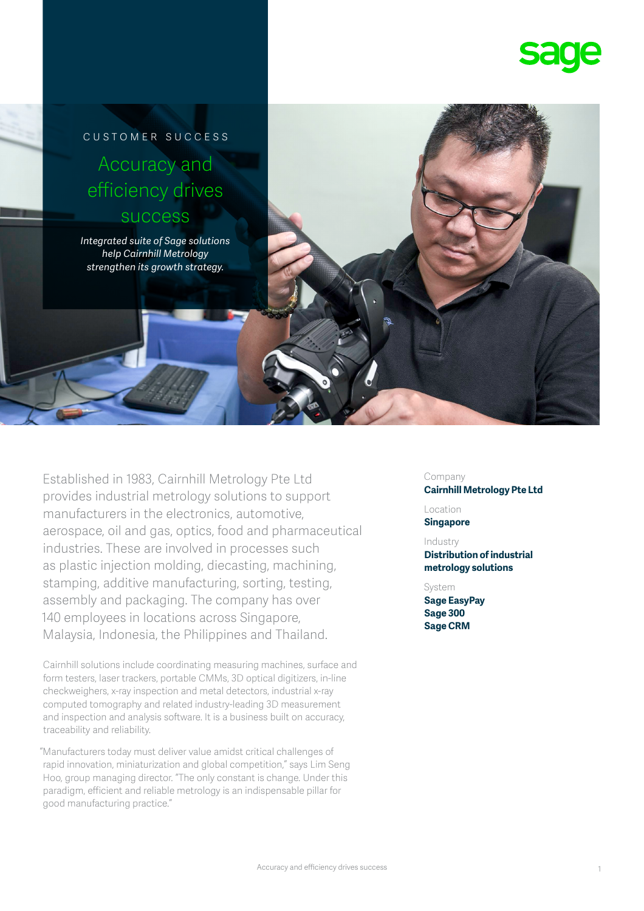

# customer success Accuracy and efficiency drives success

*Integrated suite of Sage solutions help Cairnhill Metrology strengthen its growth strategy.*

Established in 1983, Cairnhill Metrology Pte Ltd provides industrial metrology solutions to support manufacturers in the electronics, automotive, aerospace, oil and gas, optics, food and pharmaceutical industries. These are involved in processes such as plastic injection molding, diecasting, machining, stamping, additive manufacturing, sorting, testing, assembly and packaging. The company has over 140 employees in locations across Singapore, Malaysia, Indonesia, the Philippines and Thailand.

Cairnhill solutions include coordinating measuring machines, surface and form testers, laser trackers, portable CMMs, 3D optical digitizers, in-line checkweighers, x-ray inspection and metal detectors, industrial x-ray computed tomography and related industry-leading 3D measurement and inspection and analysis software. It is a business built on accuracy, traceability and reliability.

"Manufacturers today must deliver value amidst critical challenges of rapid innovation, miniaturization and global competition," says Lim Seng Hoo, group managing director. "The only constant is change. Under this paradigm, efficient and reliable metrology is an indispensable pillar for good manufacturing practice."

#### Company

**Cairnhill Metrology Pte Ltd** 

Location **Singapore**

#### Industry

**Distribution of industrial metrology solutions** 

### System

**Sage EasyPay Sage 300 Sage CRM**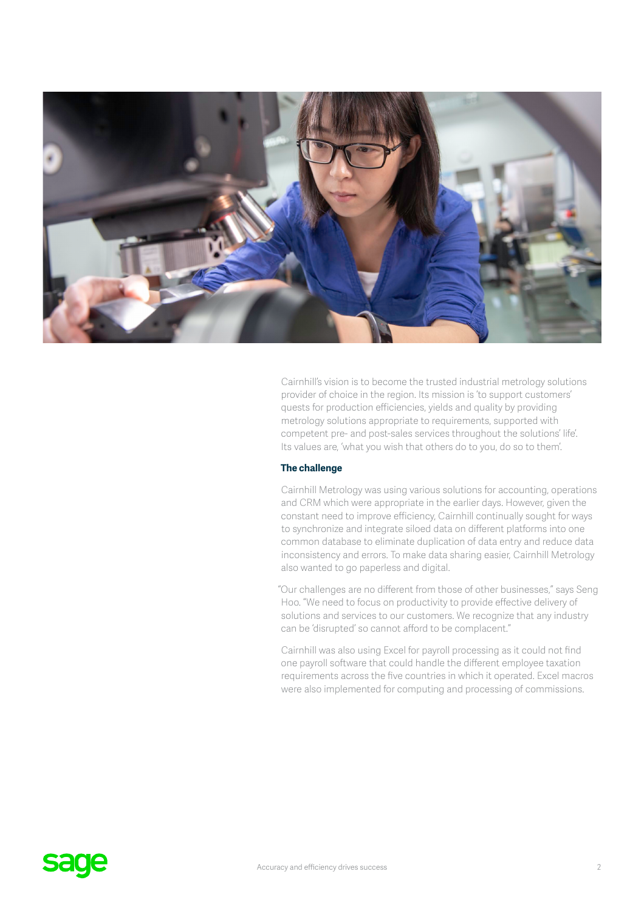

Cairnhill's vision is to become the trusted industrial metrology solutions provider of choice in the region. Its mission is 'to support customers' quests for production efficiencies, yields and quality by providing metrology solutions appropriate to requirements, supported with competent pre- and post-sales services throughout the solutions' life'. Its values are, 'what you wish that others do to you, do so to them'.

### **The challenge**

Cairnhill Metrology was using various solutions for accounting, operations and CRM which were appropriate in the earlier days. However, given the constant need to improve efficiency, Cairnhill continually sought for ways to synchronize and integrate siloed data on different platforms into one common database to eliminate duplication of data entry and reduce data inconsistency and errors. To make data sharing easier, Cairnhill Metrology also wanted to go paperless and digital.

"Our challenges are no different from those of other businesses," says Seng Hoo. "We need to focus on productivity to provide effective delivery of solutions and services to our customers. We recognize that any industry can be 'disrupted' so cannot afford to be complacent."

Cairnhill was also using Excel for payroll processing as it could not find one payroll software that could handle the different employee taxation requirements across the five countries in which it operated. Excel macros were also implemented for computing and processing of commissions.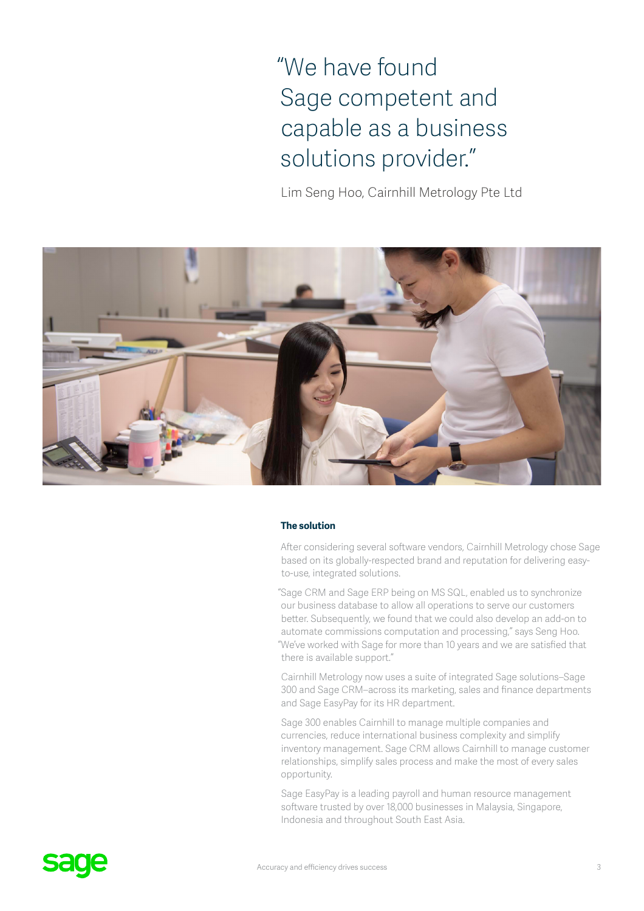"We have found Sage competent and capable as a business solutions provider."

Lim Seng Hoo, Cairnhill Metrology Pte Ltd



#### **The solution**

After considering several software vendors, Cairnhill Metrology chose Sage based on its globally-respected brand and reputation for delivering easyto-use, integrated solutions.

"Sage CRM and Sage ERP being on MS SQL, enabled us to synchronize our business database to allow all operations to serve our customers better. Subsequently, we found that we could also develop an add-on to automate commissions computation and processing," says Seng Hoo. "We've worked with Sage for more than 10 years and we are satisfied that there is available support."

Cairnhill Metrology now uses a suite of integrated Sage solutions–Sage 300 and Sage CRM–across its marketing, sales and finance departments and Sage EasyPay for its HR department.

Sage 300 enables Cairnhill to manage multiple companies and currencies, reduce international business complexity and simplify inventory management. Sage CRM allows Cairnhill to manage customer relationships, simplify sales process and make the most of every sales opportunity.

Sage EasyPay is a leading payroll and human resource management software trusted by over 18,000 businesses in Malaysia, Singapore, Indonesia and throughout South East Asia.